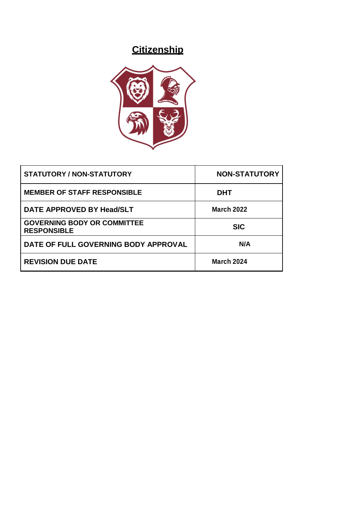# **Citizenship**



| STATUTORY / NON-STATUTORY                                | <b>NON-STATUTORY</b> |
|----------------------------------------------------------|----------------------|
| <b>MEMBER OF STAFF RESPONSIBLE</b>                       | <b>DHT</b>           |
| DATE APPROVED BY Head/SLT                                | <b>March 2022</b>    |
| <b>GOVERNING BODY OR COMMITTEE</b><br><b>RESPONSIBLE</b> | <b>SIC</b>           |
| DATE OF FULL GOVERNING BODY APPROVAL                     | N/A                  |
| <b>REVISION DUE DATE</b>                                 | <b>March 2024</b>    |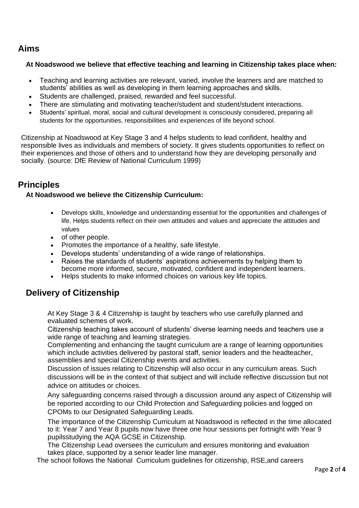### **Aims**

#### **At Noadswood we believe that effective teaching and learning in Citizenship takes place when:**

- Teaching and learning activities are relevant, varied, involve the learners and are matched to students' abilities as well as developing in them learning approaches and skills.
- Students are challenged, praised, rewarded and feel successful.
- There are stimulating and motivating teacher/student and student/student interactions.
- Students' spiritual, moral, social and cultural development is consciously considered, preparing all students for the opportunities, responsibilities and experiences of life beyond school.

Citizenship at Noadswood at Key Stage 3 and 4 helps students to lead confident, healthy and responsible lives as individuals and members of society. It gives students opportunities to reflect on their experiences and those of others and to understand how they are developing personally and socially. (source: DfE Review of National Curriculum 1999)

### **Principles**

#### **At Noadswood we believe the Citizenship Curriculum:**

- Develops skills, knowledge and understanding essential for the opportunities and challenges of life. Helps students reflect on their own attitudes and values and appreciate the attitudes and values
- of other people.
- Promotes the importance of a healthy, safe lifestyle.
- Develops students' understanding of a wide range of relationships.
- Raises the standards of students' aspirations achievements by helping them to become more informed, secure, motivated, confident and independent learners.
- Helps students to make informed choices on various key life topics.

### **Delivery of Citizenship**

At Key Stage 3 & 4 Citizenship is taught by teachers who use carefully planned and evaluated schemes of work.

Citizenship teaching takes account of students' diverse learning needs and teachers use a wide range of teaching and learning strategies.

Complementing and enhancing the taught curriculum are a range of learning opportunities which include activities delivered by pastoral staff, senior leaders and the headteacher, assemblies and special Citizenship events and activities.

Discussion of issues relating to Citizenship will also occur in any curriculum areas. Such discussions will be in the context of that subject and will include reflective discussion but not advice on attitudes or choices.

Any safeguarding concerns raised through a discussion around any aspect of Citizenship will be reported according to our Child Protection and Safeguarding policies and logged on CPOMs to our Designated Safeguarding Leads.

The importance of the Citizenship Curriculum at Noadswood is reflected in the time allocated to it: Year 7 and Year 8 pupils now have three one hour sessions per fortnight with Year 9 pupilsstudying the AQA GCSE in Citizenship.

The Citizenship Lead oversees the curriculum and ensures monitoring and evaluation takes place, supported by a senior leader line manager.

The school follows the National Curriculum guidelines for citizenship, RSE,and careers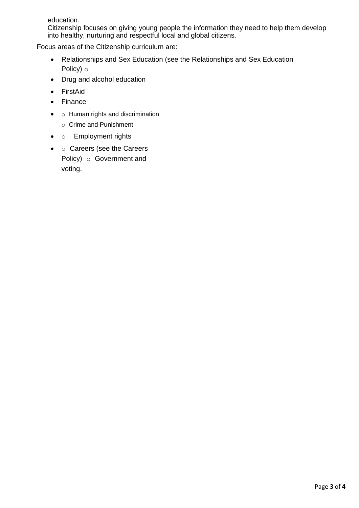education.

Citizenship focuses on giving young people the information they need to help them develop into healthy, nurturing and respectful local and global citizens.

Focus areas of the Citizenship curriculum are:

- Relationships and Sex Education (see the Relationships and Sex Education Policy) o
- Drug and alcohol education
- FirstAid
- Finance
- o Human rights and discrimination
	- o Crime and Punishment
- o Employment rights
- o Careers (see the Careers Policy) o Government and voting.